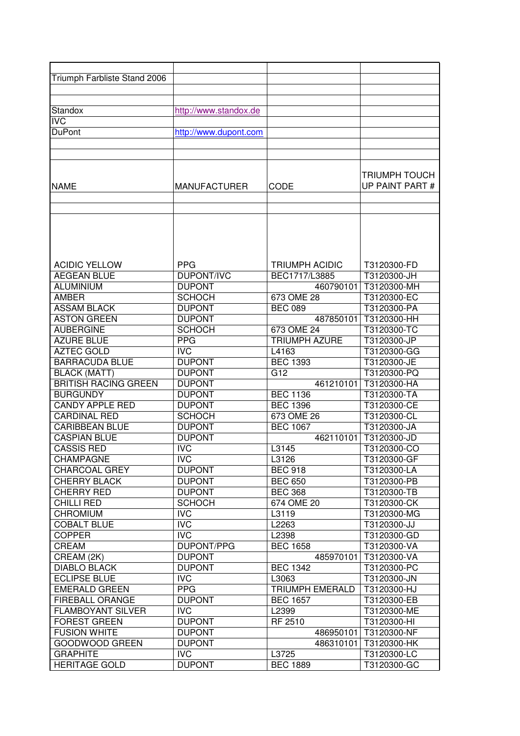| Triumph Farbliste Stand 2006 |                       |                        |                 |
|------------------------------|-----------------------|------------------------|-----------------|
|                              |                       |                        |                 |
|                              |                       |                        |                 |
| Standox                      | http://www.standox.de |                        |                 |
| <b>IVC</b>                   |                       |                        |                 |
| <b>DuPont</b>                | http://www.dupont.com |                        |                 |
|                              |                       |                        |                 |
|                              |                       |                        |                 |
|                              |                       |                        |                 |
|                              |                       |                        | TRIUMPH TOUCH   |
| <b>NAME</b>                  | <b>MANUFACTURER</b>   | CODE                   | UP PAINT PART # |
|                              |                       |                        |                 |
|                              |                       |                        |                 |
|                              |                       |                        |                 |
|                              |                       |                        |                 |
|                              |                       |                        |                 |
|                              |                       |                        |                 |
| <b>ACIDIC YELLOW</b>         | <b>PPG</b>            | <b>TRIUMPH ACIDIC</b>  | T3120300-FD     |
| <b>AEGEAN BLUE</b>           | <b>DUPONT/IVC</b>     | BEC1717/L3885          | T3120300-JH     |
| <b>ALUMINIUM</b>             | <b>DUPONT</b>         | 460790101              | T3120300-MH     |
| <b>AMBER</b>                 | <b>SCHOCH</b>         | 673 OME 28             | T3120300-EC     |
| <b>ASSAM BLACK</b>           | <b>DUPONT</b>         | <b>BEC 089</b>         | T3120300-PA     |
| <b>ASTON GREEN</b>           | <b>DUPONT</b>         | 487850101              | T3120300-HH     |
| <b>AUBERGINE</b>             | <b>SCHOCH</b>         | 673 OME 24             | T3120300-TC     |
| <b>AZURE BLUE</b>            | <b>PPG</b>            | <b>TRIUMPH AZURE</b>   | T3120300-JP     |
| <b>AZTEC GOLD</b>            | <b>IVC</b>            | L4163                  | T3120300-GG     |
| <b>BARRACUDA BLUE</b>        | <b>DUPONT</b>         | <b>BEC</b> 1393        | T3120300-JE     |
| <b>BLACK (MATT)</b>          | <b>DUPONT</b>         | G12                    | T3120300-PQ     |
| <b>BRITISH RACING GREEN</b>  | <b>DUPONT</b>         | 461210101              | T3120300-HA     |
| <b>BURGUNDY</b>              | <b>DUPONT</b>         | <b>BEC 1136</b>        | T3120300-TA     |
| <b>CANDY APPLE RED</b>       | <b>DUPONT</b>         | <b>BEC 1396</b>        | T3120300-CE     |
| <b>CARDINAL RED</b>          | <b>SCHOCH</b>         | 673 OME 26             | T3120300-CL     |
| <b>CARIBBEAN BLUE</b>        | <b>DUPONT</b>         | <b>BEC 1067</b>        | T3120300-JA     |
| <b>CASPIAN BLUE</b>          | <b>DUPONT</b>         | 462110101              | T3120300-JD     |
| <b>CASSIS RED</b>            | <b>IVC</b>            | L3145                  | T3120300-CO     |
| <b>CHAMPAGNE</b>             | <b>IVC</b>            | L3126                  | T3120300-GF     |
| <b>CHARCOAL GREY</b>         | <b>DUPONT</b>         | <b>BEC 918</b>         | T3120300-LA     |
| <b>CHERRY BLACK</b>          | <b>DUPONT</b>         | <b>BEC 650</b>         | T3120300-PB     |
| <b>CHERRY RED</b>            | <b>DUPONT</b>         | <b>BEC 368</b>         | T3120300-TB     |
| <b>CHILLI RED</b>            | <b>SCHOCH</b>         | 674 OME 20             | T3120300-CK     |
| <b>CHROMIUM</b>              | <b>IVC</b>            | L3119                  | T3120300-MG     |
| <b>COBALT BLUE</b>           | <b>IVC</b>            | L2263                  | T3120300-JJ     |
| <b>COPPER</b>                | <b>IVC</b>            | L2398                  | T3120300-GD     |
| CREAM                        | DUPONT/PPG            | <b>BEC 1658</b>        | T3120300-VA     |
| CREAM (2K)                   | <b>DUPONT</b>         | 485970101              | T3120300-VA     |
| <b>DIABLO BLACK</b>          | <b>DUPONT</b>         | <b>BEC 1342</b>        | T3120300-PC     |
| <b>ECLIPSE BLUE</b>          | <b>IVC</b>            | L3063                  | T3120300-JN     |
| <b>EMERALD GREEN</b>         | <b>PPG</b>            | <b>TRIUMPH EMERALD</b> | T3120300-HJ     |
| FIREBALL ORANGE              | <b>DUPONT</b>         | <b>BEC 1657</b>        | T3120300-EB     |
| <b>FLAMBOYANT SILVER</b>     | <b>IVC</b>            | L2399                  | T3120300-ME     |
| <b>FOREST GREEN</b>          | <b>DUPONT</b>         | RF 2510                | T3120300-HI     |
| <b>FUSION WHITE</b>          | <b>DUPONT</b>         | 486950101              | T3120300-NF     |
| GOODWOOD GREEN               | <b>DUPONT</b>         | 486310101              | T3120300-HK     |
| <b>GRAPHITE</b>              | <b>IVC</b>            | L3725                  | T3120300-LC     |
| <b>HERITAGE GOLD</b>         | <b>DUPONT</b>         | <b>BEC 1889</b>        | T3120300-GC     |